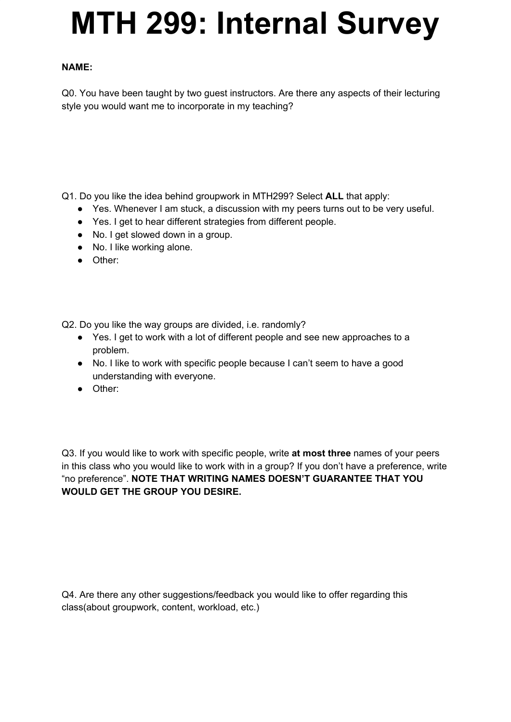## **MTH 299: Internal Survey**

## **NAME:**

Q0. You have been taught by two guest instructors. Are there any aspects of their lecturing style you would want me to incorporate in my teaching?

Q1. Do you like the idea behind groupwork in MTH299? Select **ALL** that apply:

- Yes. Whenever I am stuck, a discussion with my peers turns out to be very useful.
- Yes. I get to hear different strategies from different people.
- No. I get slowed down in a group.
- No. I like working alone.
- Other:

Q2. Do you like the way groups are divided, i.e. randomly?

- Yes. I get to work with a lot of different people and see new approaches to a problem.
- No. I like to work with specific people because I can't seem to have a good understanding with everyone.
- Other:

Q3. If you would like to work with specific people, write **at most three** names of your peers in this class who you would like to work with in a group? If you don't have a preference, write "no preference". **NOTE THAT WRITING NAMES DOESN'T GUARANTEE THAT YOU WOULD GET THE GROUP YOU DESIRE.**

Q4. Are there any other suggestions/feedback you would like to offer regarding this class(about groupwork, content, workload, etc.)